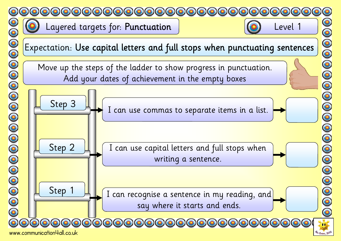

Layered targets for: Punctuation | Contraction | Contraction | Contraction | Contraction | Contraction | Contraction | Contraction | Contraction | Contraction | Contraction | Contraction | Contraction | Contraction | Contr



Move up the steps of the ladder to show progress in punctuation. Add your dates of achievement in the empty boxes



0000000000000000



I can recognise a sentence in my reading, and say where it starts and ends.



Step 1

Step 3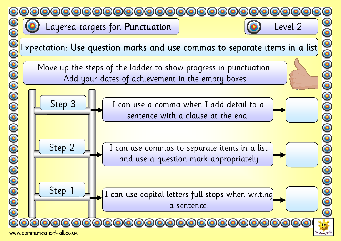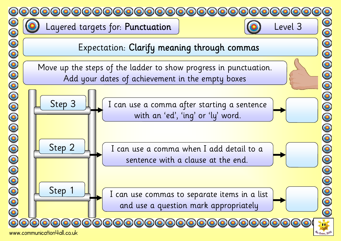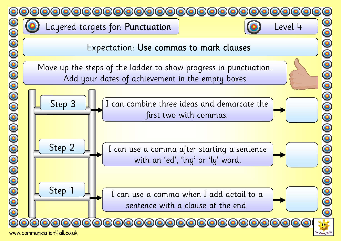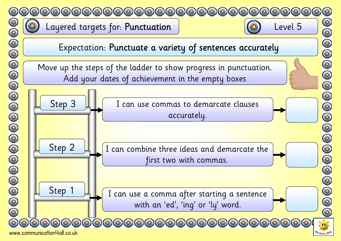

www.communication4all.co.uk